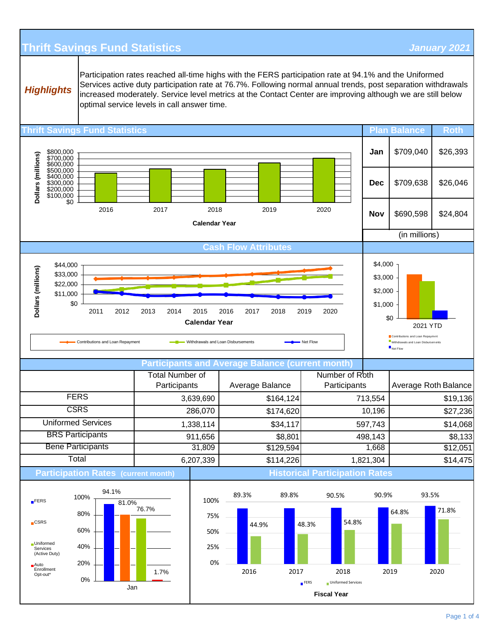## **Thrift Savings Fund Statistics** *January 2021*

*Highlights*

Participation rates reached all-time highs with the FERS participation rate at 94.1% and the Uniformed Services active duty participation rate at 76.7%. Following normal annual trends, post separation withdrawals increased moderately. Service level metrics at the Contact Center are improving although we are still below optimal service levels in call answer time.

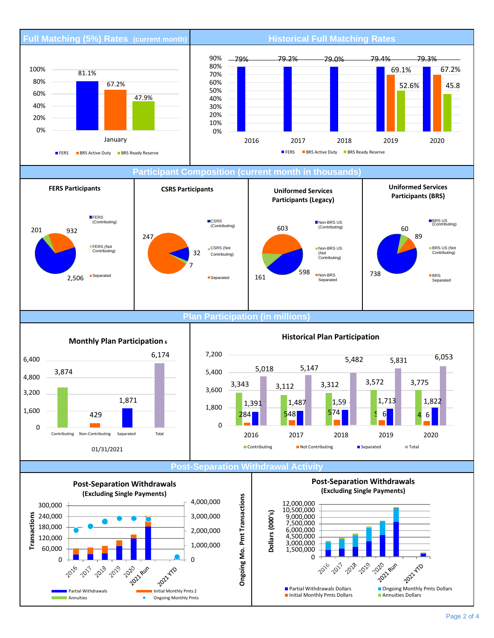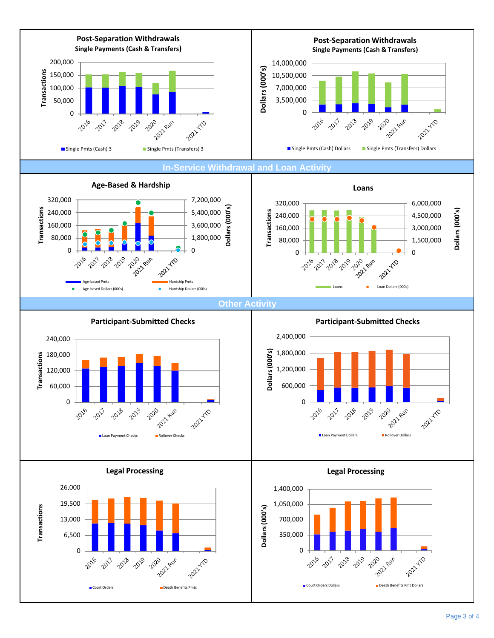